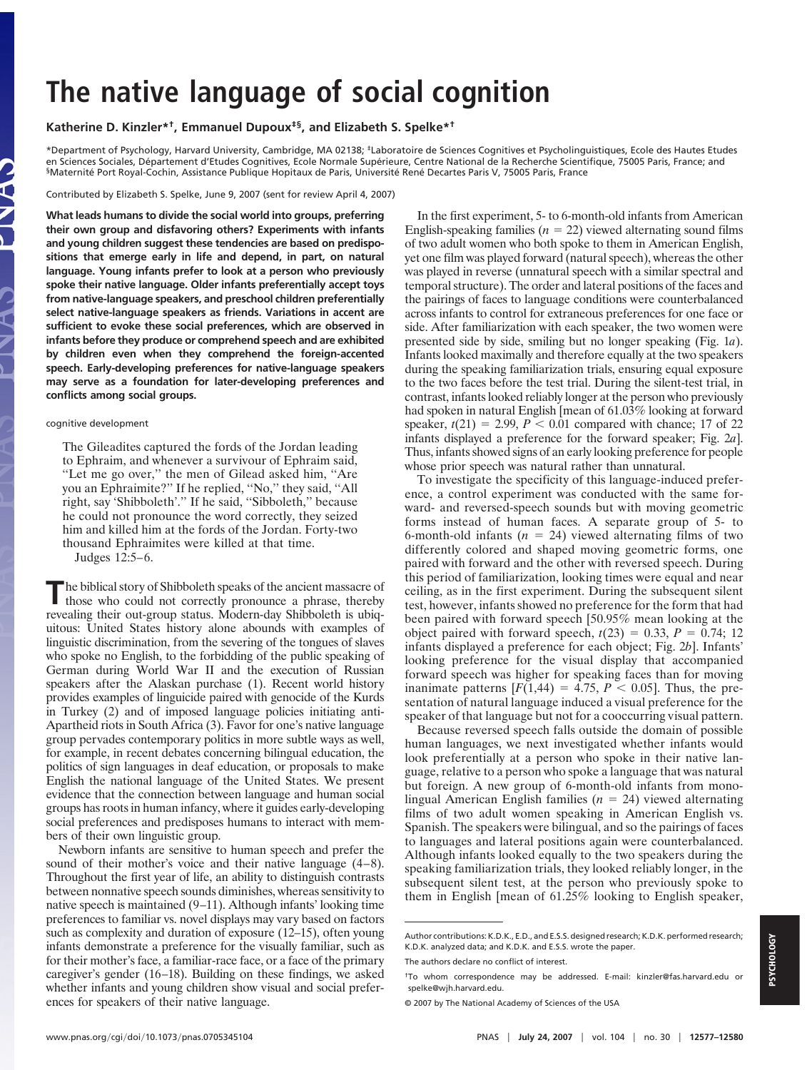## **The native language of social cognition**

**Katherine D. Kinzler\*†, Emmanuel Dupoux‡§, and Elizabeth S. Spelke\*†**

\*Department of Psychology, Harvard University, Cambridge, MA 02138; ‡Laboratoire de Sciences Cognitives et Psycholinguistiques, Ecole des Hautes Etudes en Sciences Sociales, Département d'Etudes Cognitives, Ecole Normale Supérieure, Centre National de la Recherche Scientifique, 75005 Paris, France; and §Maternité Port Royal-Cochin, Assistance Publique Hopitaux de Paris, Université René Decartes Paris V, 75005 Paris, France

Contributed by Elizabeth S. Spelke, June 9, 2007 (sent for review April 4, 2007)

**What leads humans to divide the social world into groups, preferring their own group and disfavoring others? Experiments with infants and young children suggest these tendencies are based on predispositions that emerge early in life and depend, in part, on natural language. Young infants prefer to look at a person who previously spoke their native language. Older infants preferentially accept toys from native-language speakers, and preschool children preferentially select native-language speakers as friends. Variations in accent are sufficient to evoke these social preferences, which are observed in infants before they produce or comprehend speech and are exhibited by children even when they comprehend the foreign-accented speech. Early-developing preferences for native-language speakers may serve as a foundation for later-developing preferences and conflicts among social groups.**

## cognitive development

The Gileadites captured the fords of the Jordan leading to Ephraim, and whenever a survivour of Ephraim said, ''Let me go over,'' the men of Gilead asked him, ''Are you an Ephraimite?'' If he replied, ''No,'' they said, ''All right, say 'Shibboleth'.'' If he said, ''Sibboleth,'' because he could not pronounce the word correctly, they seized him and killed him at the fords of the Jordan. Forty-two thousand Ephraimites were killed at that time.

Judges 12:5–6.

**The biblical story of Shibboleth speaks of the ancient massacre of** those who could not correctly pronounce a phrase, thereby revealing their out-group status. Modern-day Shibboleth is ubiquitous: United States history alone abounds with examples of linguistic discrimination, from the severing of the tongues of slaves who spoke no English, to the forbidding of the public speaking of German during World War II and the execution of Russian speakers after the Alaskan purchase (1). Recent world history provides examples of linguicide paired with genocide of the Kurds in Turkey (2) and of imposed language policies initiating anti-Apartheid riots in South Africa (3). Favor for one's native language group pervades contemporary politics in more subtle ways as well, for example, in recent debates concerning bilingual education, the politics of sign languages in deaf education, or proposals to make English the national language of the United States. We present evidence that the connection between language and human social groups has roots in human infancy, where it guides early-developing social preferences and predisposes humans to interact with members of their own linguistic group.

Newborn infants are sensitive to human speech and prefer the sound of their mother's voice and their native language (4–8). Throughout the first year of life, an ability to distinguish contrasts between nonnative speech sounds diminishes, whereas sensitivity to native speech is maintained (9–11). Although infants' looking time preferences to familiar vs. novel displays may vary based on factors such as complexity and duration of exposure (12–15), often young infants demonstrate a preference for the visually familiar, such as for their mother's face, a familiar-race face, or a face of the primary caregiver's gender (16–18). Building on these findings, we asked whether infants and young children show visual and social preferences for speakers of their native language.

In the first experiment, 5- to 6-month-old infants from American English-speaking families ( $n = 22$ ) viewed alternating sound films of two adult women who both spoke to them in American English, yet one film was played forward (natural speech), whereas the other was played in reverse (unnatural speech with a similar spectral and temporalstructure). The order and lateral positions of the faces and the pairings of faces to language conditions were counterbalanced across infants to control for extraneous preferences for one face or side. After familiarization with each speaker, the two women were presented side by side, smiling but no longer speaking (Fig. 1*a*). Infants looked maximally and therefore equally at the two speakers during the speaking familiarization trials, ensuring equal exposure to the two faces before the test trial. During the silent-test trial, in contrast, infants looked reliably longer at the person who previously had spoken in natural English [mean of 61.03% looking at forward speaker,  $t(21) = 2.99$ ,  $P < 0.01$  compared with chance; 17 of 22 infants displayed a preference for the forward speaker; Fig. 2*a*]. Thus, infants showed signs of an early looking preference for people whose prior speech was natural rather than unnatural.

To investigate the specificity of this language-induced preference, a control experiment was conducted with the same forward- and reversed-speech sounds but with moving geometric forms instead of human faces. A separate group of 5- to 6-month-old infants  $(n = 24)$  viewed alternating films of two differently colored and shaped moving geometric forms, one paired with forward and the other with reversed speech. During this period of familiarization, looking times were equal and near ceiling, as in the first experiment. During the subsequent silent test, however, infants showed no preference for the form that had been paired with forward speech [50.95% mean looking at the object paired with forward speech,  $t(23) = 0.33$ ,  $P = 0.74$ ; 12 infants displayed a preference for each object; Fig. 2*b*]. Infants' looking preference for the visual display that accompanied forward speech was higher for speaking faces than for moving inanimate patterns  $[F(1,44) = 4.75, P < 0.05]$ . Thus, the presentation of natural language induced a visual preference for the speaker of that language but not for a cooccurring visual pattern.

Because reversed speech falls outside the domain of possible human languages, we next investigated whether infants would look preferentially at a person who spoke in their native language, relative to a person who spoke a language that was natural but foreign. A new group of 6-month-old infants from monolingual American English families ( $n = 24$ ) viewed alternating films of two adult women speaking in American English vs. Spanish. The speakers were bilingual, and so the pairings of faces to languages and lateral positions again were counterbalanced. Although infants looked equally to the two speakers during the speaking familiarization trials, they looked reliably longer, in the subsequent silent test, at the person who previously spoke to them in English [mean of 61.25% looking to English speaker,

Author contributions: K.D.K., E.D., and E.S.S. designed research: K.D.K. performed research; K.D.K. analyzed data; and K.D.K. and E.S.S. wrote the paper.

The authors declare no conflict of interest.

<sup>†</sup>To whom correspondence may be addressed. E-mail: kinzler@fas.harvard.edu or spelke@wjh.harvard.edu.

<sup>©</sup> 2007 by The National Academy of Sciences of the USA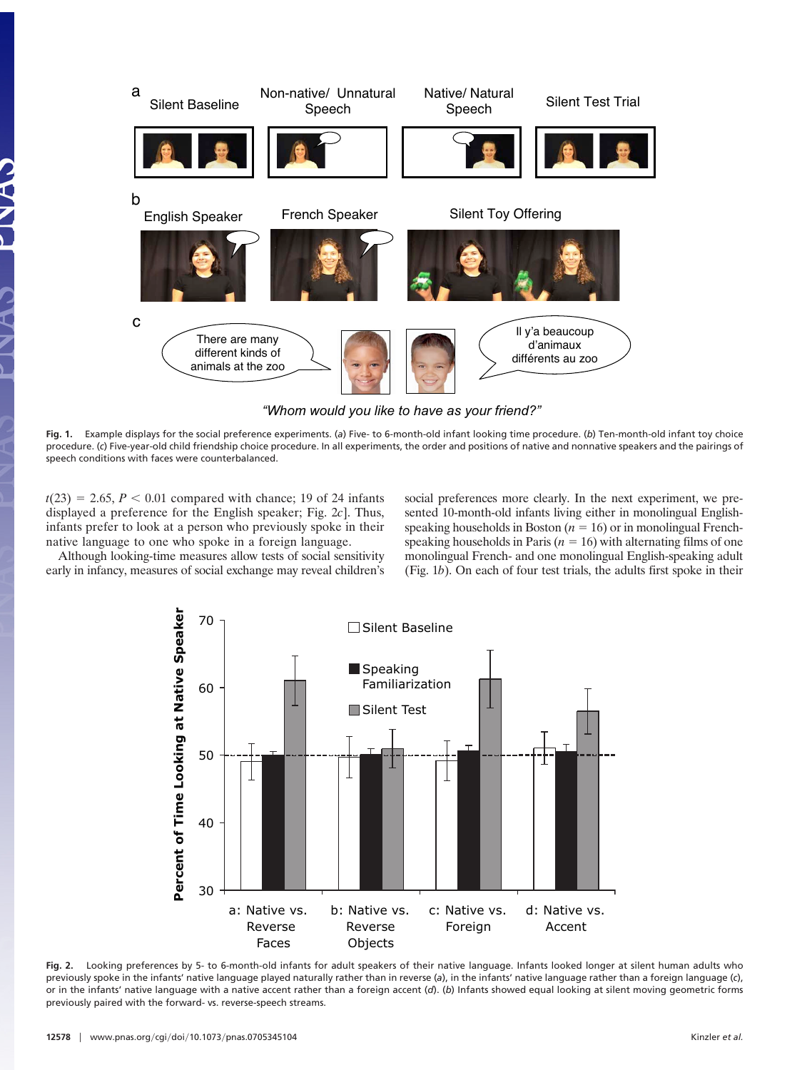

**Fig. 1.** Example displays for the social preference experiments. (*a*) Five- to 6-month-old infant looking time procedure. (*b*) Ten-month-old infant toy choice procedure. (*c*) Five-year-old child friendship choice procedure. In all experiments, the order and positions of native and nonnative speakers and the pairings of speech conditions with faces were counterbalanced.

 $t(23) = 2.65, P < 0.01$  compared with chance; 19 of 24 infants displayed a preference for the English speaker; Fig. 2*c*]. Thus, infants prefer to look at a person who previously spoke in their native language to one who spoke in a foreign language.

social preferences more clearly. In the next experiment, we presented 10-month-old infants living either in monolingual Englishspeaking households in Boston ( $n = 16$ ) or in monolingual Frenchspeaking households in Paris ( $n = 16$ ) with alternating films of one monolingual French- and one monolingual English-speaking adult (Fig. 1*b*). On each of four test trials, the adults first spoke in their

Although looking-time measures allow tests of social sensitivity early in infancy, measures of social exchange may reveal children's



**Fig. 2.** Looking preferences by 5- to 6-month-old infants for adult speakers of their native language. Infants looked longer at silent human adults who previously spoke in the infants' native language played naturally rather than in reverse (*a*), in the infants' native language rather than a foreign language (*c*), or in the infants' native language with a native accent rather than a foreign accent (*d*). (*b*) Infants showed equal looking at silent moving geometric forms previously paired with the forward- vs. reverse-speech streams.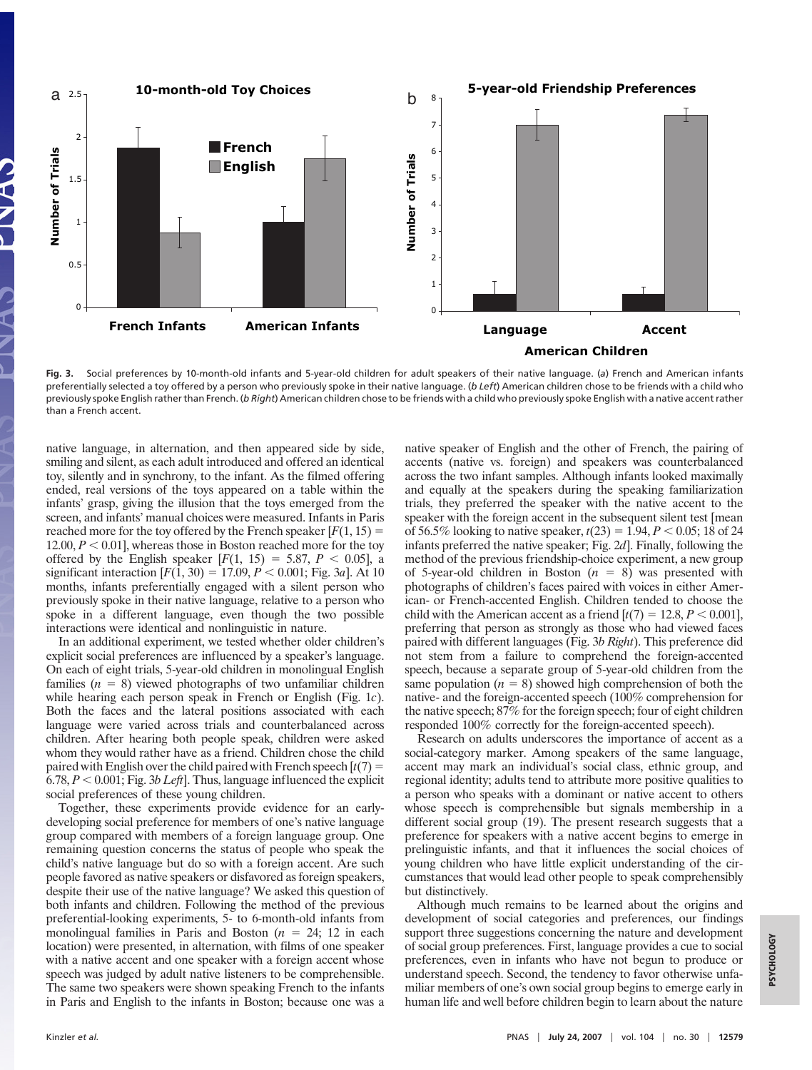

**Fig. 3.** Social preferences by 10-month-old infants and 5-year-old children for adult speakers of their native language. (*a*) French and American infants preferentially selected a toy offered by a person who previously spoke in their native language. (*b Left*) American children chose to be friends with a child who previously spoke English ratherthan French. (*b Right*) American children chose to be friends with a child who previously spoke English with a native accentrather than a French accent.

native language, in alternation, and then appeared side by side, smiling and silent, as each adult introduced and offered an identical toy, silently and in synchrony, to the infant. As the filmed offering ended, real versions of the toys appeared on a table within the infants' grasp, giving the illusion that the toys emerged from the screen, and infants' manual choices were measured. Infants in Paris reached more for the toy offered by the French speaker  $[F(1, 15)] =$ 12.00,  $P < 0.01$ , whereas those in Boston reached more for the toy offered by the English speaker  $[F(1, 15) = 5.87, P < 0.05]$ , a significant interaction  $[F(1, 30) = 17.09, P < 0.001; Fig. 3a]$ . At 10 months, infants preferentially engaged with a silent person who previously spoke in their native language, relative to a person who spoke in a different language, even though the two possible interactions were identical and nonlinguistic in nature.

In an additional experiment, we tested whether older children's explicit social preferences are influenced by a speaker's language. On each of eight trials, 5-year-old children in monolingual English families  $(n = 8)$  viewed photographs of two unfamiliar children while hearing each person speak in French or English (Fig. 1*c*). Both the faces and the lateral positions associated with each language were varied across trials and counterbalanced across children. After hearing both people speak, children were asked whom they would rather have as a friend. Children chose the child paired with English over the child paired with French speech  $[t(7) =$  $6.78, P < 0.001$ ; Fig. 3*b Left*]. Thus, language influenced the explicit social preferences of these young children.

Together, these experiments provide evidence for an earlydeveloping social preference for members of one's native language group compared with members of a foreign language group. One remaining question concerns the status of people who speak the child's native language but do so with a foreign accent. Are such people favored as native speakers or disfavored as foreign speakers, despite their use of the native language? We asked this question of both infants and children. Following the method of the previous preferential-looking experiments, 5- to 6-month-old infants from monolingual families in Paris and Boston  $(n = 24; 12$  in each location) were presented, in alternation, with films of one speaker with a native accent and one speaker with a foreign accent whose speech was judged by adult native listeners to be comprehensible. The same two speakers were shown speaking French to the infants in Paris and English to the infants in Boston; because one was a

native speaker of English and the other of French, the pairing of accents (native vs. foreign) and speakers was counterbalanced across the two infant samples. Although infants looked maximally and equally at the speakers during the speaking familiarization trials, they preferred the speaker with the native accent to the speaker with the foreign accent in the subsequent silent test [mean of 56.5% looking to native speaker,  $t(23) = 1.94$ ,  $P < 0.05$ ; 18 of 24 infants preferred the native speaker; Fig. 2*d*]. Finally, following the method of the previous friendship-choice experiment, a new group of 5-year-old children in Boston  $(n = 8)$  was presented with photographs of children's faces paired with voices in either American- or French-accented English. Children tended to choose the child with the American accent as a friend  $[t(7) = 12.8, P < 0.001]$ , preferring that person as strongly as those who had viewed faces paired with different languages (Fig. 3*b Right*). This preference did not stem from a failure to comprehend the foreign-accented speech, because a separate group of 5-year-old children from the same population  $(n = 8)$  showed high comprehension of both the native- and the foreign-accented speech (100% comprehension for the native speech; 87% for the foreign speech; four of eight children responded 100% correctly for the foreign-accented speech).

Research on adults underscores the importance of accent as a social-category marker. Among speakers of the same language, accent may mark an individual's social class, ethnic group, and regional identity; adults tend to attribute more positive qualities to a person who speaks with a dominant or native accent to others whose speech is comprehensible but signals membership in a different social group (19). The present research suggests that a preference for speakers with a native accent begins to emerge in prelinguistic infants, and that it influences the social choices of young children who have little explicit understanding of the circumstances that would lead other people to speak comprehensibly but distinctively.

Although much remains to be learned about the origins and development of social categories and preferences, our findings support three suggestions concerning the nature and development of social group preferences. First, language provides a cue to social preferences, even in infants who have not begun to produce or understand speech. Second, the tendency to favor otherwise unfamiliar members of one's own social group begins to emerge early in human life and well before children begin to learn about the nature